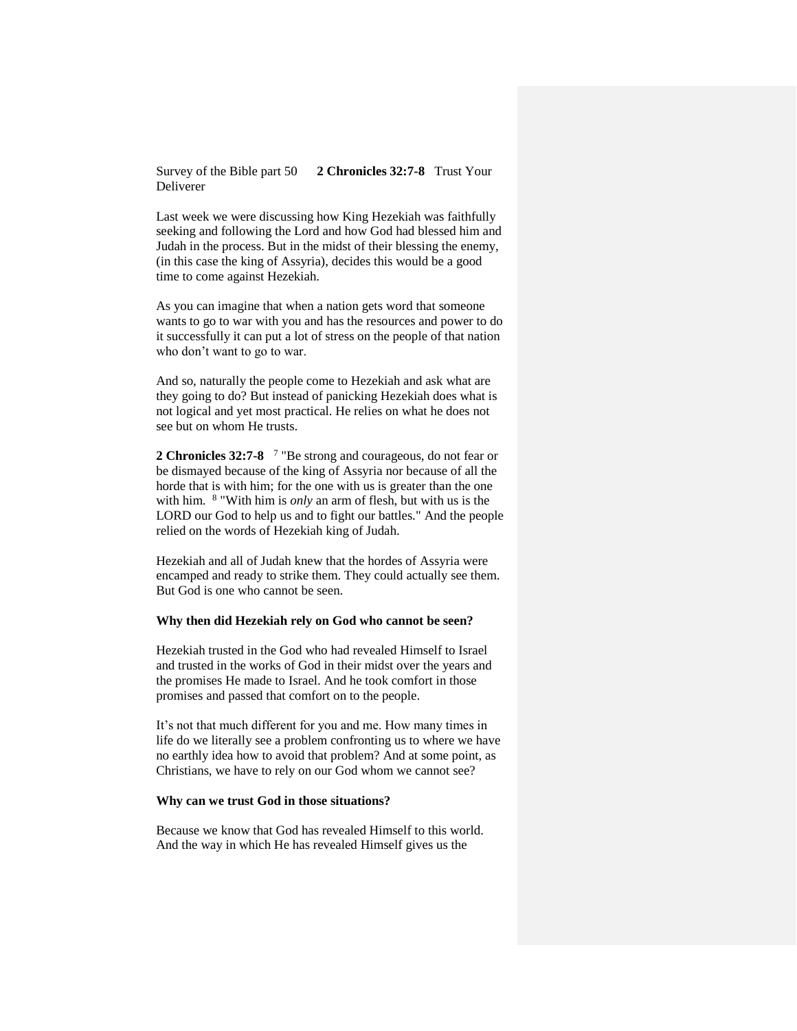Survey of the Bible part 50 **2 Chronicles 32:7-8** Trust Your Deliverer

Last week we were discussing how King Hezekiah was faithfully seeking and following the Lord and how God had blessed him and Judah in the process. But in the midst of their blessing the enemy, (in this case the king of Assyria), decides this would be a good time to come against Hezekiah.

As you can imagine that when a nation gets word that someone wants to go to war with you and has the resources and power to do it successfully it can put a lot of stress on the people of that nation who don't want to go to war.

And so, naturally the people come to Hezekiah and ask what are they going to do? But instead of panicking Hezekiah does what is not logical and yet most practical. He relies on what he does not see but on whom He trusts.

**2 Chronicles 32:7-8**  7 "Be strong and courageous, do not fear or be dismayed because of the king of Assyria nor because of all the horde that is with him; for the one with us is greater than the one with him. <sup>8</sup> "With him is *only* an arm of flesh, but with us is the LORD our God to help us and to fight our battles." And the people relied on the words of Hezekiah king of Judah.

Hezekiah and all of Judah knew that the hordes of Assyria were encamped and ready to strike them. They could actually see them. But God is one who cannot be seen.

### **Why then did Hezekiah rely on God who cannot be seen?**

Hezekiah trusted in the God who had revealed Himself to Israel and trusted in the works of God in their midst over the years and the promises He made to Israel. And he took comfort in those promises and passed that comfort on to the people.

It's not that much different for you and me. How many times in life do we literally see a problem confronting us to where we have no earthly idea how to avoid that problem? And at some point, as Christians, we have to rely on our God whom we cannot see?

### **Why can we trust God in those situations?**

Because we know that God has revealed Himself to this world. And the way in which He has revealed Himself gives us the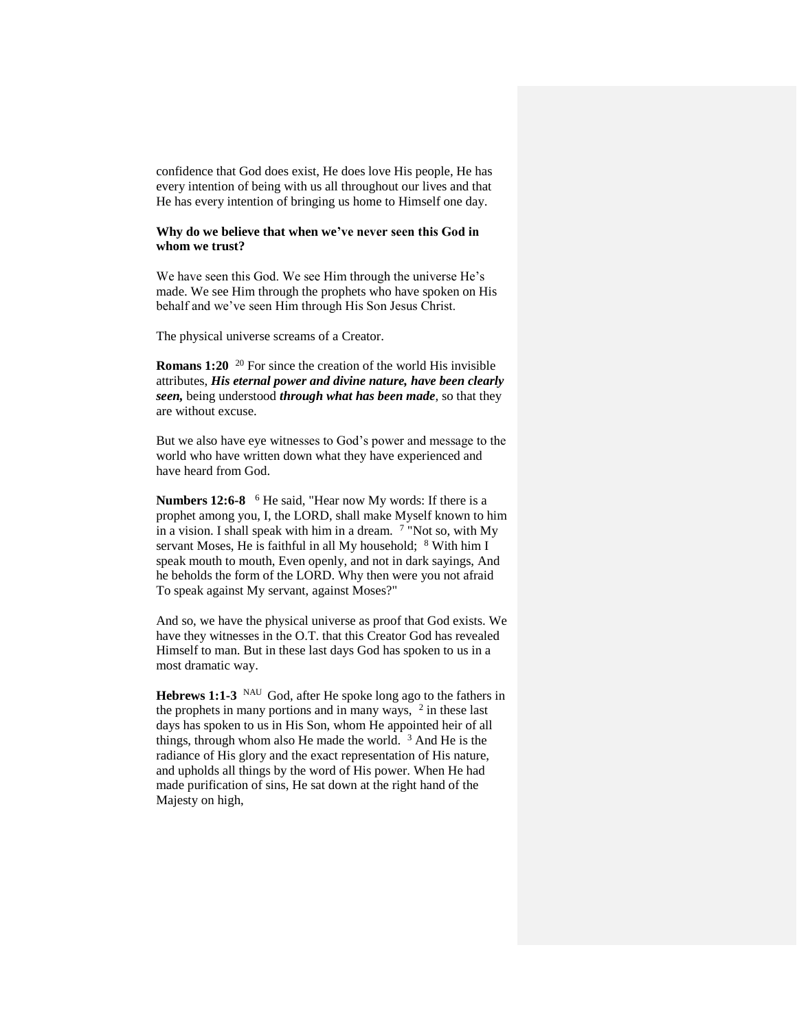confidence that God does exist, He does love His people, He has every intention of being with us all throughout our lives and that He has every intention of bringing us home to Himself one day.

### **Why do we believe that when we've never seen this God in whom we trust?**

We have seen this God. We see Him through the universe He's made. We see Him through the prophets who have spoken on His behalf and we've seen Him through His Son Jesus Christ.

The physical universe screams of a Creator.

**Romans 1:20** <sup>20</sup> For since the creation of the world His invisible attributes, *His eternal power and divine nature, have been clearly seen,* being understood *through what has been made*, so that they are without excuse.

But we also have eye witnesses to God's power and message to the world who have written down what they have experienced and have heard from God.

Numbers 12:6-8 <sup>6</sup> He said, "Hear now My words: If there is a prophet among you, I, the LORD, shall make Myself known to him in a vision. I shall speak with him in a dream.  $7$  "Not so, with My servant Moses, He is faithful in all My household;  $8$  With him I speak mouth to mouth, Even openly, and not in dark sayings, And he beholds the form of the LORD. Why then were you not afraid To speak against My servant, against Moses?"

And so, we have the physical universe as proof that God exists. We have they witnesses in the O.T. that this Creator God has revealed Himself to man. But in these last days God has spoken to us in a most dramatic way.

**Hebrews 1:1-3** NAU God, after He spoke long ago to the fathers in the prophets in many portions and in many ways,  $2$  in these last days has spoken to us in His Son, whom He appointed heir of all things, through whom also He made the world. <sup>3</sup> And He is the radiance of His glory and the exact representation of His nature, and upholds all things by the word of His power. When He had made purification of sins, He sat down at the right hand of the Majesty on high,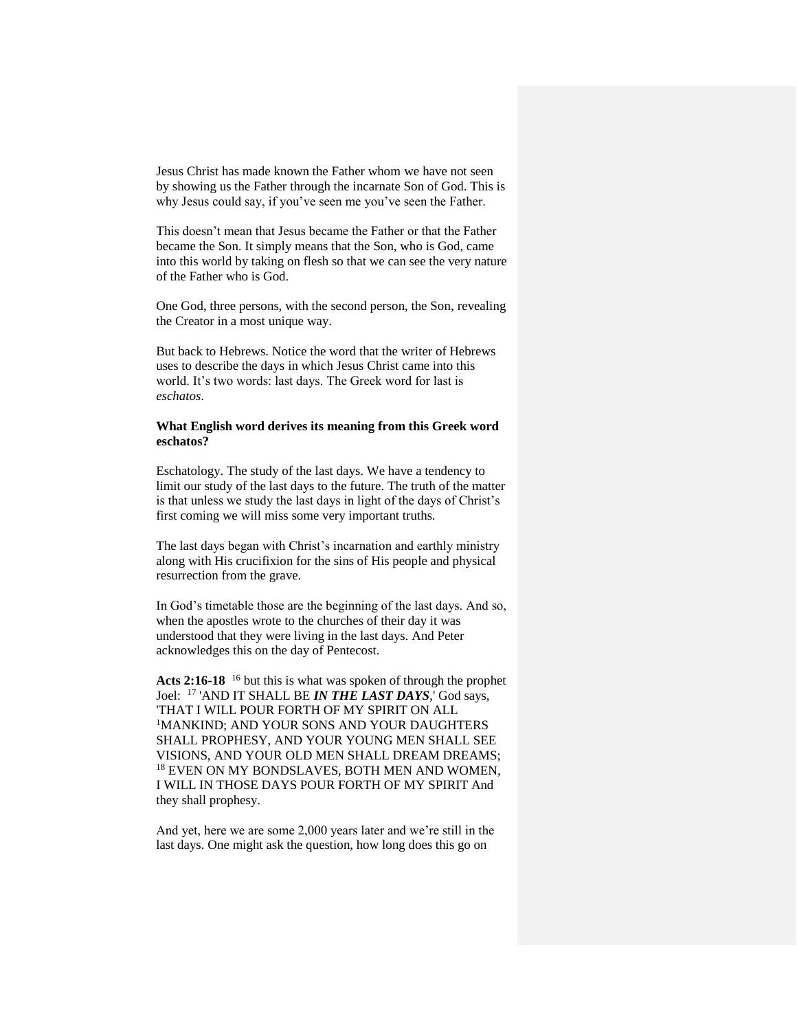Jesus Christ has made known the Father whom we have not seen by showing us the Father through the incarnate Son of God. This is why Jesus could say, if you've seen me you've seen the Father.

This doesn't mean that Jesus became the Father or that the Father became the Son. It simply means that the Son, who is God, came into this world by taking on flesh so that we can see the very nature of the Father who is God.

One God, three persons, with the second person, the Son, revealing the Creator in a most unique way.

But back to Hebrews. Notice the word that the writer of Hebrews uses to describe the days in which Jesus Christ came into this world. It's two words: last days. The Greek word for last is *eschatos*.

# **What English word derives its meaning from this Greek word eschatos?**

Eschatology. The study of the last days. We have a tendency to limit our study of the last days to the future. The truth of the matter is that unless we study the last days in light of the days of Christ's first coming we will miss some very important truths.

The last days began with Christ's incarnation and earthly ministry along with His crucifixion for the sins of His people and physical resurrection from the grave.

In God's timetable those are the beginning of the last days. And so, when the apostles wrote to the churches of their day it was understood that they were living in the last days. And Peter acknowledges this on the day of Pentecost.

**Acts 2:16-18** <sup>16</sup> but this is what was spoken of through the prophet Joel: <sup>17</sup> 'AND IT SHALL BE *IN THE LAST DAYS*,' God says, 'THAT I WILL POUR FORTH OF MY SPIRIT ON ALL <sup>1</sup>MANKIND; AND YOUR SONS AND YOUR DAUGHTERS SHALL PROPHESY, AND YOUR YOUNG MEN SHALL SEE VISIONS, AND YOUR OLD MEN SHALL DREAM DREAMS; <sup>18</sup> EVEN ON MY BONDSLAVES, BOTH MEN AND WOMEN, I WILL IN THOSE DAYS POUR FORTH OF MY SPIRIT And they shall prophesy.

And yet, here we are some 2,000 years later and we're still in the last days. One might ask the question, how long does this go on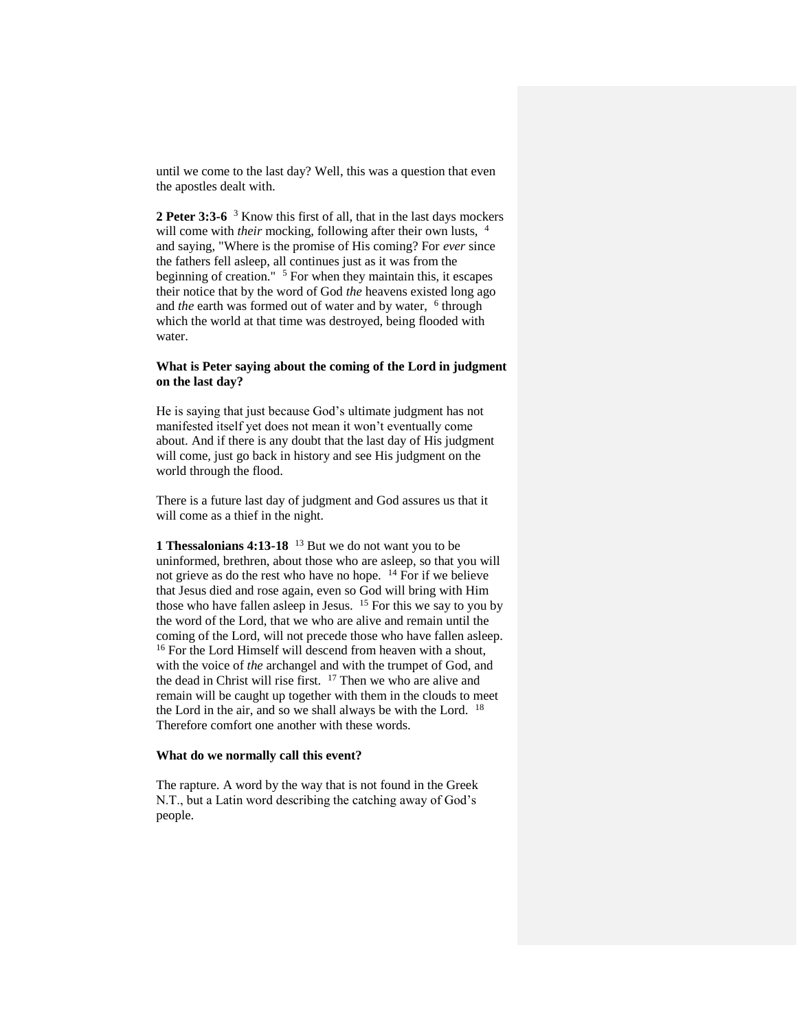until we come to the last day? Well, this was a question that even the apostles dealt with.

**2 Peter 3:3-6** <sup>3</sup> Know this first of all, that in the last days mockers will come with *their* mocking, following after their own lusts, <sup>4</sup> and saying, "Where is the promise of His coming? For *ever* since the fathers fell asleep, all continues just as it was from the beginning of creation."  $5$  For when they maintain this, it escapes their notice that by the word of God *the* heavens existed long ago and *the* earth was formed out of water and by water, <sup>6</sup> through which the world at that time was destroyed, being flooded with water.

## **What is Peter saying about the coming of the Lord in judgment on the last day?**

He is saying that just because God's ultimate judgment has not manifested itself yet does not mean it won't eventually come about. And if there is any doubt that the last day of His judgment will come, just go back in history and see His judgment on the world through the flood.

There is a future last day of judgment and God assures us that it will come as a thief in the night.

**1 Thessalonians 4:13-18** <sup>13</sup> But we do not want you to be uninformed, brethren, about those who are asleep, so that you will not grieve as do the rest who have no hope. <sup>14</sup> For if we believe that Jesus died and rose again, even so God will bring with Him that  $\frac{1}{2}$  and  $\frac{1}{2}$  and  $\frac{1}{2}$   $\frac{1}{2}$   $\frac{1}{2}$  for  $\frac{1}{2}$  For this we say to you by the word of the Lord, that we who are alive and remain until the coming of the Lord, will not precede those who have fallen asleep. <sup>16</sup> For the Lord Himself will descend from heaven with a shout, with the voice of *the* archangel and with the trumpet of God, and the dead in Christ will rise first. <sup>17</sup> Then we who are alive and remain will be caught up together with them in the clouds to meet the Lord in the air, and so we shall always be with the Lord. <sup>18</sup> Therefore comfort one another with these words.

### **What do we normally call this event?**

The rapture. A word by the way that is not found in the Greek N.T., but a Latin word describing the catching away of God's people.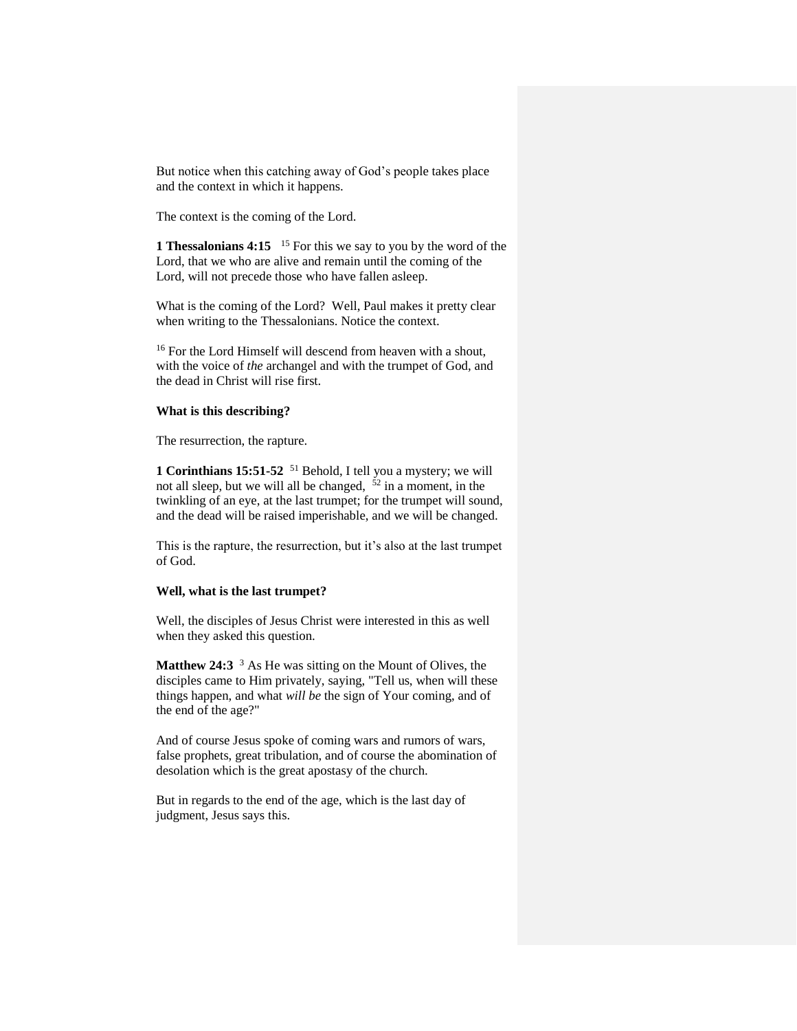But notice when this catching away of God's people takes place and the context in which it happens.

The context is the coming of the Lord.

**1 Thessalonians 4:15** <sup>15</sup> For this we say to you by the word of the Lord, that we who are alive and remain until the coming of the Lord, will not precede those who have fallen asleep.

What is the coming of the Lord? Well, Paul makes it pretty clear when writing to the Thessalonians. Notice the context.

<sup>16</sup> For the Lord Himself will descend from heaven with a shout, with the voice of *the* archangel and with the trumpet of God, and the dead in Christ will rise first.

### **What is this describing?**

The resurrection, the rapture.

**1 Corinthians 15:51-52** <sup>51</sup> Behold, I tell you a mystery; we will not all sleep, but we will all be changed,  $52$  in a moment, in the twinkling of an eye, at the last trumpet; for the trumpet will sound, and the dead will be raised imperishable, and we will be changed.

This is the rapture, the resurrection, but it's also at the last trumpet of God.

### **Well, what is the last trumpet?**

Well, the disciples of Jesus Christ were interested in this as well when they asked this question.

**Matthew 24:3** <sup>3</sup> As He was sitting on the Mount of Olives, the disciples came to Him privately, saying, "Tell us, when will these things happen, and what *will be* the sign of Your coming, and of the end of the age?"

And of course Jesus spoke of coming wars and rumors of wars, false prophets, great tribulation, and of course the abomination of desolation which is the great apostasy of the church.

But in regards to the end of the age, which is the last day of judgment, Jesus says this.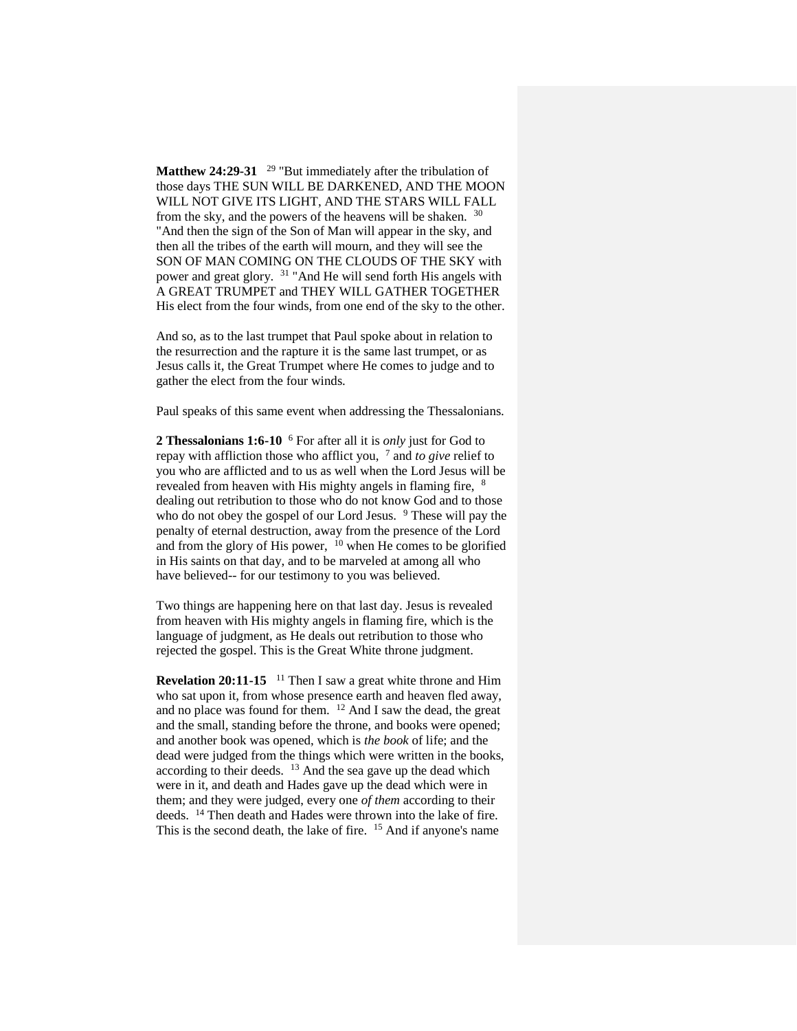Matthew 24:29-31 <sup>29</sup> "But immediately after the tribulation of those days THE SUN WILL BE DARKENED, AND THE MOON WILL NOT GIVE ITS LIGHT, AND THE STARS WILL FALL from the sky, and the powers of the heavens will be shaken.  $30$ "And then the sign of the Son of Man will appear in the sky, and then all the tribes of the earth will mourn, and they will see the SON OF MAN COMING ON THE CLOUDS OF THE SKY with power and great glory. <sup>31</sup> "And He will send forth His angels with A GREAT TRUMPET and THEY WILL GATHER TOGETHER His elect from the four winds, from one end of the sky to the other.

And so, as to the last trumpet that Paul spoke about in relation to the resurrection and the rapture it is the same last trumpet, or as Jesus calls it, the Great Trumpet where He comes to judge and to gather the elect from the four winds.

Paul speaks of this same event when addressing the Thessalonians.

**2 Thessalonians 1:6-10** <sup>6</sup> For after all it is *only* just for God to repay with affliction those who afflict you, <sup>7</sup> and *to give* relief to you who are afflicted and to us as well when the Lord Jesus will be revealed from heaven with His mighty angels in flaming fire,  $8$ dealing out retribution to those who do not know God and to those who do not obey the gospel of our Lord Jesus. <sup>9</sup> These will pay the penalty of eternal destruction, away from the presence of the Lord and from the glory of His power,  $^{10}$  when He comes to be glorified in His saints on that day, and to be marveled at among all who have believed-- for our testimony to you was believed.

Two things are happening here on that last day. Jesus is revealed from heaven with His mighty angels in flaming fire, which is the language of judgment, as He deals out retribution to those who rejected the gospel. This is the Great White throne judgment.

**Revelation 20:11-15** <sup>11</sup> Then I saw a great white throne and Him who sat upon it, from whose presence earth and heaven fled away, and no place was found for them. <sup>12</sup> And I saw the dead, the great and the small, standing before the throne, and books were opened; and another book was opened, which is *the book* of life; and the dead were judged from the things which were written in the books, according to their deeds. <sup>13</sup> And the sea gave up the dead which were in it, and death and Hades gave up the dead which were in them; and they were judged, every one *of them* according to their deeds. <sup>14</sup> Then death and Hades were thrown into the lake of fire. This is the second death, the lake of fire. <sup>15</sup> And if anyone's name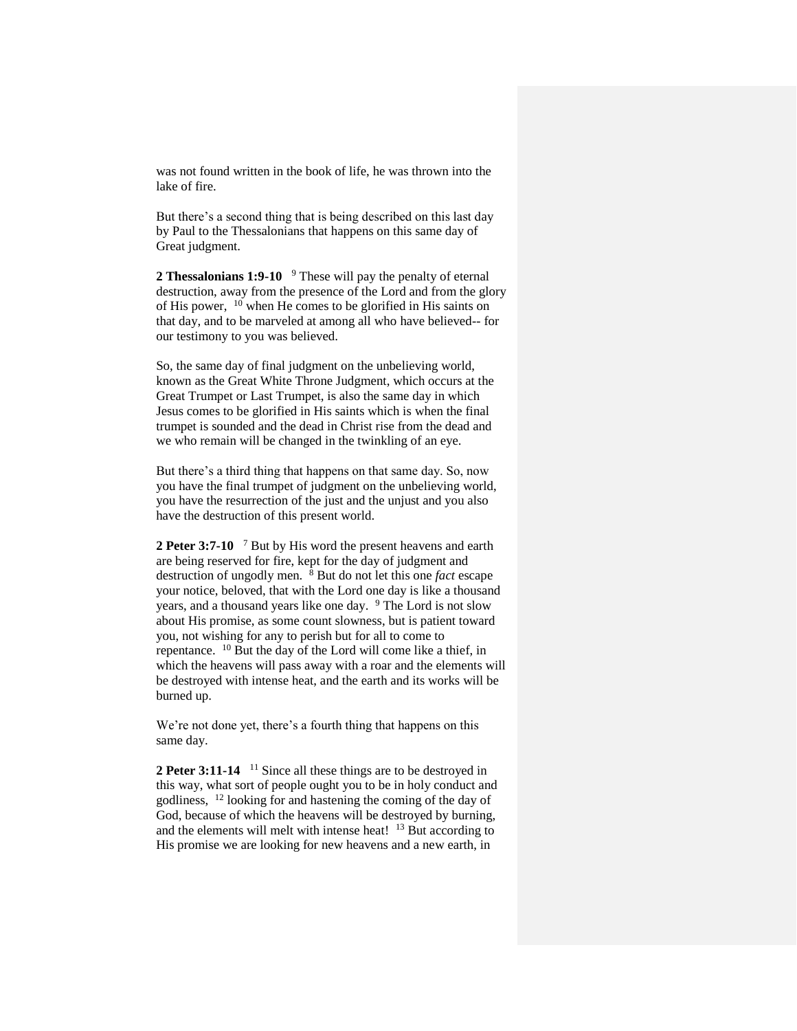was not found written in the book of life, he was thrown into the lake of fire.

But there's a second thing that is being described on this last day by Paul to the Thessalonians that happens on this same day of Great judgment.

2 **Thessalonians 1:9-10** <sup>9</sup> These will pay the penalty of eternal destruction, away from the presence of the Lord and from the glory of His power,  $10$  when He comes to be glorified in His saints on that day, and to be marveled at among all who have believed-- for our testimony to you was believed.

So, the same day of final judgment on the unbelieving world, known as the Great White Throne Judgment, which occurs at the Great Trumpet or Last Trumpet, is also the same day in which Jesus comes to be glorified in His saints which is when the final trumpet is sounded and the dead in Christ rise from the dead and we who remain will be changed in the twinkling of an eye.

But there's a third thing that happens on that same day. So, now you have the final trumpet of judgment on the unbelieving world, you have the resurrection of the just and the unjust and you also have the destruction of this present world.

2 Peter 3:7-10 <sup>7</sup> But by His word the present heavens and earth are being reserved for fire, kept for the day of judgment and destruction of ungodly men. <sup>8</sup> But do not let this one *fact* escape your notice, beloved, that with the Lord one day is like a thousand years, and a thousand years like one day. <sup>9</sup> The Lord is not slow about His promise, as some count slowness, but is patient toward you, not wishing for any to perish but for all to come to repentance. <sup>10</sup> But the day of the Lord will come like a thief, in which the heavens will pass away with a roar and the elements will be destroyed with intense heat, and the earth and its works will be burned up.

We're not done yet, there's a fourth thing that happens on this same day.

2 Peter 3:11-14<sup>11</sup> Since all these things are to be destroyed in this way, what sort of people ought you to be in holy conduct and godliness, <sup>12</sup> looking for and hastening the coming of the day of God, because of which the heavens will be destroyed by burning, and the elements will melt with intense heat! <sup>13</sup> But according to His promise we are looking for new heavens and a new earth, in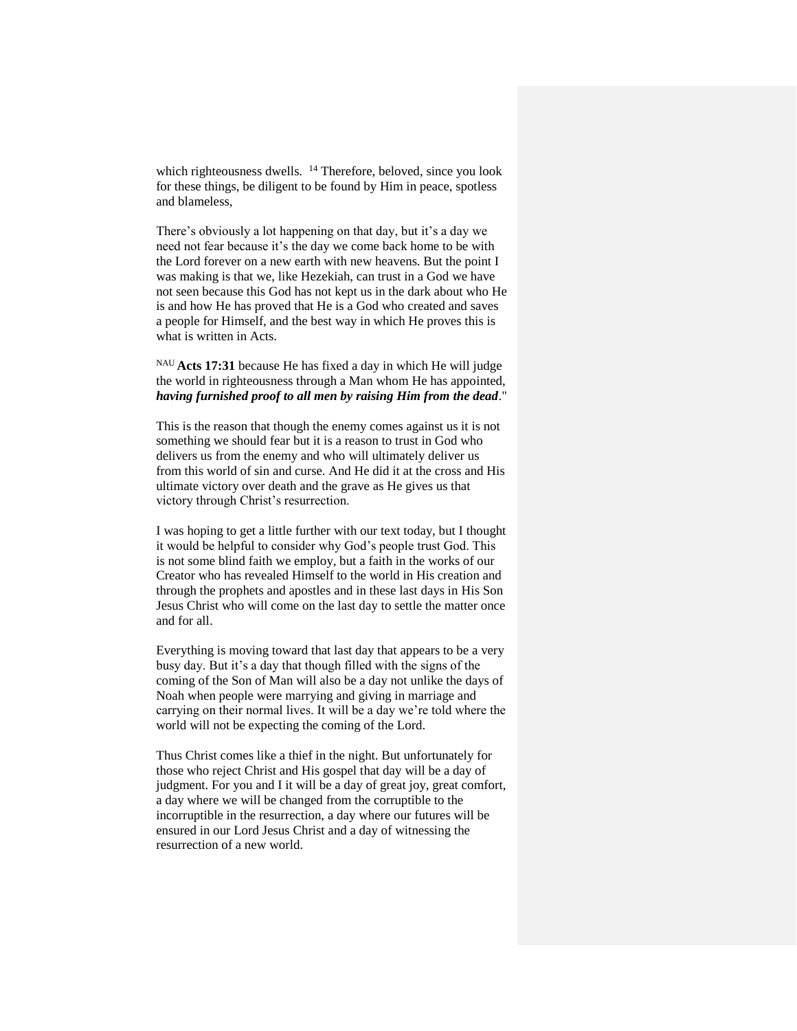which righteousness dwells. <sup>14</sup> Therefore, beloved, since you look for these things, be diligent to be found by Him in peace, spotless and blameless,

There's obviously a lot happening on that day, but it's a day we need not fear because it's the day we come back home to be with the Lord forever on a new earth with new heavens. But the point I was making is that we, like Hezekiah, can trust in a God we have not seen because this God has not kept us in the dark about who He is and how He has proved that He is a God who created and saves a people for Himself, and the best way in which He proves this is what is written in Acts.

NAU **Acts 17:31** because He has fixed a day in which He will judge the world in righteousness through a Man whom He has appointed, *having furnished proof to all men by raising Him from the dead*."

This is the reason that though the enemy comes against us it is not something we should fear but it is a reason to trust in God who delivers us from the enemy and who will ultimately deliver us from this world of sin and curse. And He did it at the cross and His ultimate victory over death and the grave as He gives us that victory through Christ's resurrection.

I was hoping to get a little further with our text today, but I thought it would be helpful to consider why God's people trust God. This is not some blind faith we employ, but a faith in the works of our Creator who has revealed Himself to the world in His creation and through the prophets and apostles and in these last days in His Son Jesus Christ who will come on the last day to settle the matter once and for all.

Everything is moving toward that last day that appears to be a very busy day. But it's a day that though filled with the signs of the coming of the Son of Man will also be a day not unlike the days of Noah when people were marrying and giving in marriage and carrying on their normal lives. It will be a day we're told where the world will not be expecting the coming of the Lord.

Thus Christ comes like a thief in the night. But unfortunately for those who reject Christ and His gospel that day will be a day of judgment. For you and I it will be a day of great joy, great comfort, a day where we will be changed from the corruptible to the incorruptible in the resurrection, a day where our futures will be ensured in our Lord Jesus Christ and a day of witnessing the resurrection of a new world.